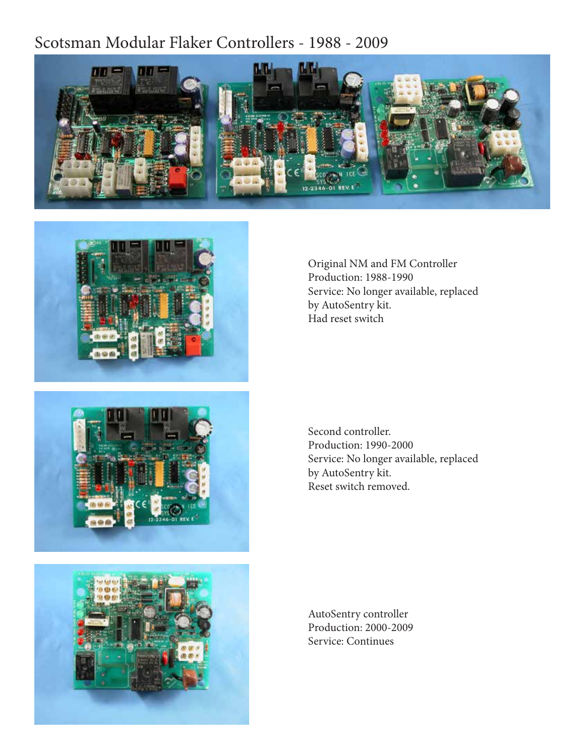### Scotsman Modular Flaker Controllers - 1988 - 2009









Original NM and FM Controller Production: 1988-1990 Service: No longer available, replaced by AutoSentry kit. Had reset switch

Second controller. Production: 1990-2000 Service: No longer available, replaced by AutoSentry kit. Reset switch removed.

AutoSentry controller Production: 2000-2009 Service: Continues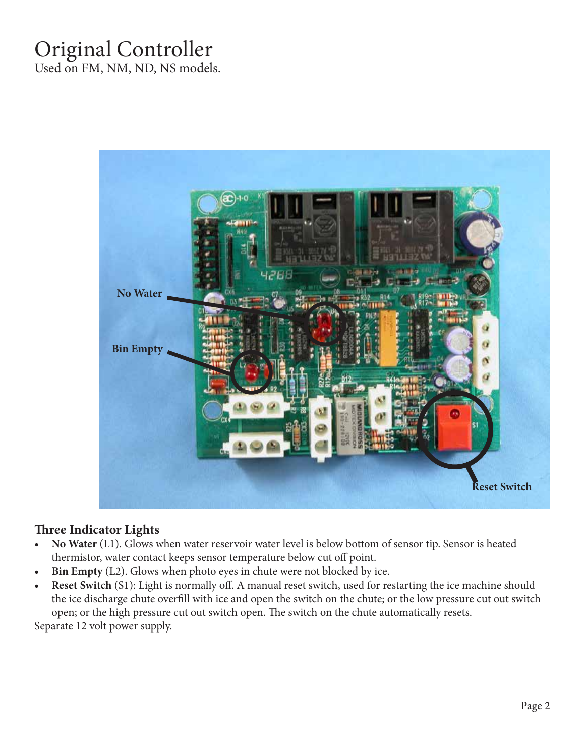# Original Controller

Used on FM, NM, ND, NS models.



#### **Three Indicator Lights**

- **• No Water** (L1). Glows when water reservoir water level is below bottom of sensor tip. Sensor is heated thermistor, water contact keeps sensor temperature below cut off point.
- **• Bin Empty** (L2). Glows when photo eyes in chute were not blocked by ice.
- **• Reset Switch** (S1): Light is normally off. A manual reset switch, used for restarting the ice machine should the ice discharge chute overfill with ice and open the switch on the chute; or the low pressure cut out switch open; or the high pressure cut out switch open. The switch on the chute automatically resets.

Separate 12 volt power supply.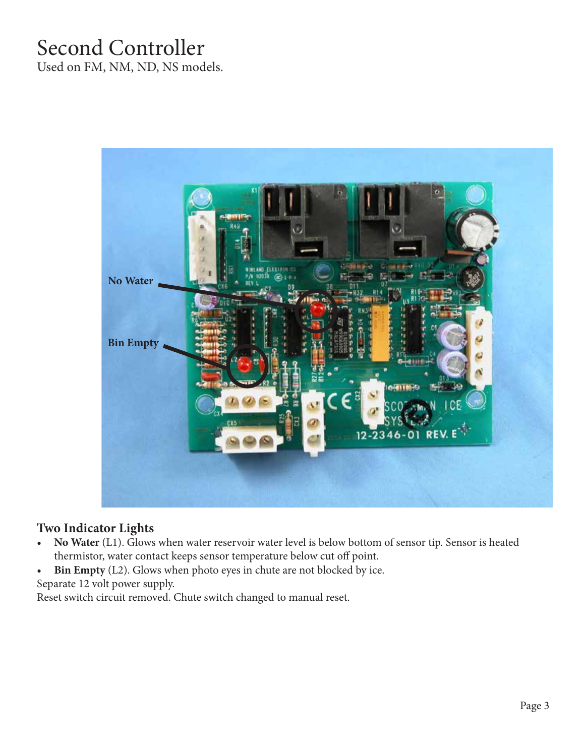## Second Controller

Used on FM, NM, ND, NS models.



### **Two Indicator Lights**

- **• No Water** (L1). Glows when water reservoir water level is below bottom of sensor tip. Sensor is heated thermistor, water contact keeps sensor temperature below cut off point.
- **• Bin Empty** (L2). Glows when photo eyes in chute are not blocked by ice. Separate 12 volt power supply.

Reset switch circuit removed. Chute switch changed to manual reset.